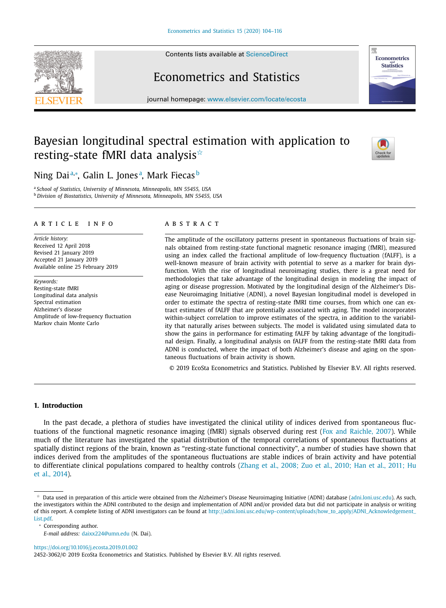Contents lists available at [ScienceDirect](http://www.ScienceDirect.com)

<span id="page-0-0"></span>



# Econometrics and Statistics

journal homepage: [www.elsevier.com/locate/ecosta](http://www.elsevier.com/locate/ecosta)

# Bayesian longitudinal spectral estimation with application to resting-state fMRI data analysis $^{\scriptscriptstyle\star}$



# Ning Daiª∗, Galin L. Jonesª, Mark Fiecas<sup>b</sup>

<sup>a</sup> *School of Statistics, University of Minnesota, Minneapolis, MN 55455, USA* <sup>b</sup> *Division of Biostatistics, University of Minnesota, Minneapolis, MN 55455, USA*

## a r t i c l e i n f o

*Article history:* Received 12 April 2018 Revised 21 January 2019 Accepted 21 January 2019 Available online 25 February 2019

*Keywords:* Resting-state fMRI Longitudinal data analysis Spectral estimation Alzheimer's disease Amplitude of low-frequency fluctuation Markov chain Monte Carlo

#### A B S T R A C T

The amplitude of the oscillatory patterns present in spontaneous fluctuations of brain signals obtained from resting-state functional magnetic resonance imaging (fMRI), measured using an index called the fractional amplitude of low-frequency fluctuation (fALFF), is a well-known measure of brain activity with potential to serve as a marker for brain dysfunction. With the rise of longitudinal neuroimaging studies, there is a great need for methodologies that take advantage of the longitudinal design in modeling the impact of aging or disease progression. Motivated by the longitudinal design of the Alzheimer's Disease Neuroimaging Initiative (ADNI), a novel Bayesian longitudinal model is developed in order to estimate the spectra of resting-state fMRI time courses, from which one can extract estimates of fALFF that are potentially associated with aging. The model incorporates within-subject correlation to improve estimates of the spectra, in addition to the variability that naturally arises between subjects. The model is validated using simulated data to show the gains in performance for estimating fALFF by taking advantage of the longitudinal design. Finally, a longitudinal analysis on fALFF from the resting-state fMRI data from ADNI is conducted, where the impact of both Alzheimer's disease and aging on the spontaneous fluctuations of brain activity is shown.

© 2019 EcoSta Econometrics and Statistics. Published by Elsevier B.V. All rights reserved.

# **1. Introduction**

In the past decade, a plethora of studies have investigated the clinical utility of indices derived from spontaneous fluctuations of the functional magnetic resonance imaging (fMRI) signals observed during rest (Fox and [Raichle,](#page-11-0) 2007). While much of the literature has investigated the spatial distribution of the temporal correlations of spontaneous fluctuations at spatially distinct regions of the brain, known as "resting-state functional connectivity", a number of studies have shown that indices derived from the amplitudes of the spontaneous fluctuations are stable indices of brain activity and have potential to [differentiate](#page-12-0) clinical populations compared to healthy controls (Zhang et al., 2008; Zuo et al., 2010; Han et al., 2011; Hu et al., 2014).

<sup>∗</sup> Corresponding author.

*E-mail address:* [daixx224@umn.edu](mailto:daixx224@umn.edu) (N. Dai).

<https://doi.org/10.1016/j.ecosta.2019.01.002>

<sup>-</sup> Data used in preparation of this article were obtained from the Alzheimer's Disease Neuroimaging Initiative (ADNI) database [\(adni.loni.usc.edu\)](http://adni.loni.usc.edu). As such, the investigators within the ADNI contributed to the design and implementation of ADNI and/or provided data but did not participate in analysis or writing of this report. A complete listing of ADNI investigators can be found at [http://adni.loni.usc.edu/wp-content/uploads/how\\_to\\_apply/ADNI\\_Acknowledgement\\_](http://adni.loni.usc.edu/wp-content/uploads/how_to_apply/ADNI_Acknowledgement_List.pdf) List.pdf.

<sup>2452-3062/© 2019</sup> EcoSta Econometrics and Statistics. Published by Elsevier B.V. All rights reserved.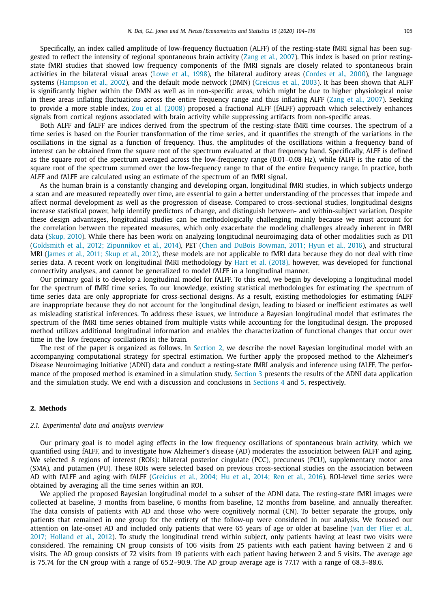Specifically, an index called amplitude of low-frequency fluctuation (ALFF) of the resting-state fMRI signal has been suggested to reflect the intensity of regional spontaneous brain activity (Zang et al., [2007\)](#page-12-0). This index is based on prior restingstate fMRI studies that showed low frequency components of the fMRI signals are closely related to spontaneous brain activities in the bilateral visual areas [\(Lowe](#page-11-0) et al., 1998), the bilateral auditory areas [\(Cordes](#page-11-0) et al., 2000), the language systems [\(Hampson](#page-11-0) et al., 2002), and the default mode network (DMN) [\(Greicius](#page-11-0) et al., 2003). It has been shown that ALFF is significantly higher within the DMN as well as in non-specific areas, which might be due to higher physiological noise in these areas inflating fluctuations across the entire frequency range and thus inflating ALFF (Zang et al., [2007\)](#page-12-0). Seeking to provide a more stable index, Zou et al. [\(2008\)](#page-12-0) proposed a fractional ALFF (fALFF) approach which selectively enhances signals from cortical regions associated with brain activity while suppressing artifacts from non-specific areas.

Both ALFF and fALFF are indices derived from the spectrum of the resting-state fMRI time courses. The spectrum of a time series is based on the Fourier transformation of the time series, and it quantifies the strength of the variations in the oscillations in the signal as a function of frequency. Thus, the amplitudes of the oscillations within a frequency band of interest can be obtained from the square root of the spectrum evaluated at that frequency band. Specifically, ALFF is defined as the square root of the spectrum averaged across the low-frequency range (0.01–0.08 Hz), while fALFF is the ratio of the square root of the spectrum summed over the low-frequency range to that of the entire frequency range. In practice, both ALFF and fALFF are calculated using an estimate of the spectrum of an fMRI signal.

As the human brain is a constantly changing and developing organ, longitudinal fMRI studies, in which subjects undergo a scan and are measured repeatedly over time, are essential to gain a better understanding of the processes that impede and affect normal development as well as the progression of disease. Compared to cross-sectional studies, longitudinal designs increase statistical power, help identify predictors of change, and distinguish between- and within-subject variation. Despite these design advantages, longitudinal studies can be methodologically challenging mainly because we must account for the correlation between the repeated measures, which only exacerbate the modeling challenges already inherent in fMRI data [\(Skup,](#page-12-0) 2010). While there has been work on analyzing longitudinal neuroimaging data of other modalities such as DTI (Goldsmith et al., 2012; [Zipunnikov](#page-11-0) et al., 2014), PET (Chen and DuBois [Bowman,](#page-11-0) 2011; Hyun et al., 2016), and structural MRI [\(James](#page-11-0) et al., 2011; Skup et al., 2012), these models are not applicable to fMRI data because they do not deal with time series data. A recent work on longitudinal fMRI methodology by Hart et al. [\(2018\),](#page-11-0) however, was developed for functional connectivity analyses, and cannot be generalized to model fALFF in a longitudinal manner.

Our primary goal is to develop a longitudinal model for fALFF. To this end, we begin by developing a longitudinal model for the spectrum of fMRI time series. To our knowledge, existing statistical methodologies for estimating the spectrum of time series data are only appropriate for cross-sectional designs. As a result, existing methodologies for estimating fALFF are inappropriate because they do not account for the longitudinal design, leading to biased or inefficient estimates as well as misleading statistical inferences. To address these issues, we introduce a Bayesian longitudinal model that estimates the spectrum of the fMRI time series obtained from multiple visits while accounting for the longitudinal design. The proposed method utilizes additional longitudinal information and enables the characterization of functional changes that occur over time in the low frequency oscillations in the brain.

The rest of the paper is organized as follows. In Section 2, we describe the novel Bayesian longitudinal model with an accompanying computational strategy for spectral estimation. We further apply the proposed method to the Alzheimer's Disease Neuroimaging Initiative (ADNI) data and conduct a resting-state fMRI analysis and inference using fALFF. The performance of the proposed method is examined in a simulation study. [Section](#page-6-0) 3 presents the results of the ADNI data application and the simulation study. We end with a discussion and conclusions in [Sections](#page-9-0) 4 and [5,](#page-9-0) respectively.

#### **2. Methods**

## *2.1. Experimental data and analysis overview*

Our primary goal is to model aging effects in the low frequency oscillations of spontaneous brain activity, which we quantified using fALFF, and to investigate how Alzheimer's disease (AD) moderates the association between fALFF and aging. We selected 8 regions of interest (ROIs): bilateral posterior cingulate (PCC), precuneus (PCU), supplementary motor area (SMA), and putamen (PU). These ROIs were selected based on previous cross-sectional studies on the association between AD with fALFF and aging with fALFF [\(Greicius](#page-11-0) et al., 2004; Hu et al., 2014; Ren et al., 2016). ROI-level time series were obtained by averaging all the time series within an ROI.

We applied the proposed Bayesian longitudinal model to a subset of the ADNI data. The resting-state fMRI images were collected at baseline, 3 months from baseline, 6 months from baseline, 12 months from baseline, and annually thereafter. The data consists of patients with AD and those who were cognitively normal (CN). To better separate the groups, only patients that remained in one group for the entirety of the follow-up were considered in our analysis. We focused our attention on late-onset AD and included only patients that were 65 years of age or older at baseline (van der Flier et al., 2017; Holland et al., 2012). To study the [longitudinal](#page-11-0) trend within subject, only patients having at least two visits were considered. The remaining CN group consists of 106 visits from 25 patients with each patient having between 2 and 6 visits. The AD group consists of 72 visits from 19 patients with each patient having between 2 and 5 visits. The average age is 75.74 for the CN group with a range of 65.2–90.9. The AD group average age is 77.17 with a range of 68.3–88.6.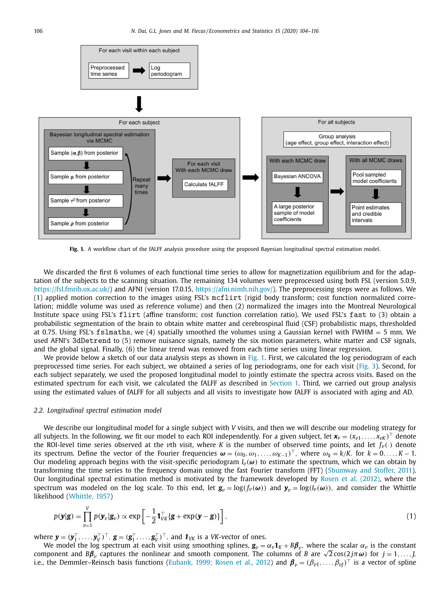<span id="page-2-0"></span>

**Fig. 1.** A workflow chart of the fALFF analysis procedure using the proposed Bayesian longitudinal spectral estimation model.

We discarded the first 6 volumes of each functional time series to allow for magnetization equilibrium and for the adaptation of the subjects to the scanning situation. The remaining 134 volumes were preprocessed using both FSL (version 5.0.9, [https://fsl.fmrib.ox.ac.uk/\)](https://fsl.fmrib.ox.ac.uk/) and AFNI (version 17.0.15, [https://afni.nimh.nih.gov/\)](https://afni.nimh.nih.gov/). The preprocessing steps were as follows. We (1) applied motion correction to the images using FSL's mcflirt (rigid body transform; cost function normalized correlation; middle volume was used as reference volume) and then (2) normalized the images into the Montreal Neurological Institute space using FSL's flirt (affine transform; cost function correlation ratio). We used FSL's fast to (3) obtain a probabilistic segmentation of the brain to obtain white matter and cerebrospinal fluid (CSF) probabilistic maps, thresholded at 0.75. Using FSL's fslmaths, we (4) spatially smoothed the volumes using a Gaussian kernel with FWHM = 5 mm. We used AFNI's 3dDetrend to (5) remove nuisance signals, namely the six motion parameters, white matter and CSF signals, and the global signal. Finally, (6) the linear trend was removed from each time series using linear regression.

We provide below a sketch of our data analysis steps as shown in Fig. 1. First, we calculated the log periodogram of each preprocessed time series. For each subject, we obtained a series of log periodograms, one for each visit [\(Fig.](#page-5-0) 3). Second, for each subject separately, we used the proposed longitudinal model to jointly estimate the spectra across visits. Based on the estimated spectrum for each visit, we calculated the fALFF as described in [Section](#page-0-0) 1. Third, we carried out group analysis using the estimated values of fALFF for all subjects and all visits to investigate how fALFF is associated with aging and AD.

#### *2.2. Longitudinal spectral estimation model*

We describe our longitudinal model for a single subject with *V* visits, and then we will describe our modeling strategy for all subjects. In the following, we fit our model to each ROI independently. For a given subject, let  $\mathbf{x}_v = (x_{v1}, \dots, x_{vK})^\top$  denote the ROI-level time series observed at the *v*th visit, where *K* is the number of observed time points, and let  $f_\nu(\cdot)$  denote its spectrum. Define the vector of the Fourier frequencies  $\boldsymbol{\omega} = (\omega_0, \omega_1, \dots, \omega_{K-1})^\top$ , where  $\omega_k = k/K$ , for  $k = 0, \dots, K-1$ . Our modeling approach begins with the visit-specific periodogram  $I_\nu(\omega)$  to estimate the spectrum, which we can obtain by transforming the time series to the frequency domain using the fast Fourier transform (FFT) [\(Shumway](#page-12-0) and Stoffer, 2011). Our longitudinal spectral estimation method is motivated by the framework developed by Rosen et al. [\(2012\),](#page-12-0) where the spectrum was modeled on the log scale. To this end, let  $g_v = \log(f_v(\omega))$  and  $y_v = \log(f_v(\omega))$ , and consider the Whittle likelihood [\(Whittle,](#page-12-0) 1957)

$$
p(\mathbf{y}|\mathbf{g}) = \prod_{v=1}^{V} p(\mathbf{y}_v|\mathbf{g}_v) \propto \exp\left[-\frac{1}{2}\mathbf{1}_{VK}^\top \{\mathbf{g} + \exp(\mathbf{y} - \mathbf{g})\}\right],\tag{1}
$$

where  $\mathbf{y} = (\mathbf{y}_1^\top, \dots, \mathbf{y}_V^\top)^\top$ ,  $\mathbf{g} = (\mathbf{g}_1^\top, \dots, \mathbf{g}_V^\top)^\top$ , and  $\mathbf{1}_{V\!K}$  is a VK-vector of ones.

We model the log spectrum at each visit using smoothing splines,  $\mathbf{g}_v = \alpha_v \mathbf{1}_K + B\beta_v$ , where the scalar  $\alpha_v$  is the constant component and *Bβ*<sup>*v*</sup> captures the nonlinear and smooth component. The columns of *B* are  $\sqrt{2}\cos(2j\pi\omega)$  for *j* = 1, ..., *J*, i.e., the Demmler–Reinsch basis functions [\(Eubank,](#page-11-0) 1999; Rosen et al., 2012) and  $\beta_v = (\beta_{v1}, \dots, \beta_{vJ})^{\top}$  is a vector of spline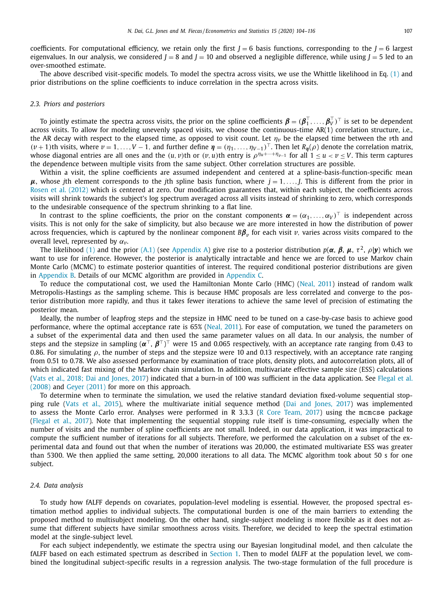coefficients. For computational efficiency, we retain only the first  $J = 6$  basis functions, corresponding to the  $J = 6$  largest eigenvalues. In our analysis, we considered  $J = 8$  and  $J = 10$  and observed a negligible difference, while using  $J = 5$  led to an over-smoothed estimate.

The above described visit-specific models. To model the spectra across visits, we use the Whittle likelihood in Eq. [\(1\)](#page-2-0) and prior distributions on the spline coefficients to induce correlation in the spectra across visits.

#### *2.3. Priors and posteriors*

To jointly estimate the spectra across visits, the prior on the spline coefficients  $\pmb{\beta}=(\pmb{\beta}_1^\top,\ldots,\pmb{\beta}_V^\top)^\top$  is set to be dependent across visits. To allow for modeling unevenly spaced visits, we choose the continuous-time AR(1) correlation structure, i.e., the AR decay with respect to the elapsed time, as opposed to visit count. Let  $\eta_v$  be the elapsed time between the  $v$ th and  $(\nu + 1)$ th visits, where  $\nu = 1, \ldots, V - 1$ , and further define  $\eta = (\eta_1, \ldots, \eta_{V-1})^\top$ . Then let  $R_\eta(\rho)$  denote the correlation matrix, whose diagonal entries are all ones and the  $(u, v)$ th or  $(v, u)$ th entry is  $\rho^{n_u+\cdots+n_{\nu-1}}$  for all  $1 \le u < v \le V$ . This term captures the dependence between multiple visits from the same subject. Other correlation structures are possible.

Within a visit, the spline coefficients are assumed independent and centered at a spline-basis-function-specific mean  $μ$ , whose *j*th element corresponds to the *j*th spline basis function, where  $j = 1, \ldots, J$ . This is different from the prior in Rosen et al. [\(2012\)](#page-12-0) which is centered at zero. Our modification guarantees that, within each subject, the coefficients across visits will shrink towards the subject's log spectrum averaged across all visits instead of shrinking to zero, which corresponds to the undesirable consequence of the spectrum shrinking to a flat line.

In contrast to the spline coefficients, the prior on the constant components  $\boldsymbol{\alpha} = (\alpha_1, \dots, \alpha_V)^\top$  is independent across visits. This is not only for the sake of simplicity, but also because we are more interested in how the distribution of power across frequencies, which is captured by the nonlinear component *Bβ<sup>v</sup>* for each visit *v*, varies across visits compared to the overall level, represented by  $\alpha_v$ .

The likelihood [\(1\)](#page-2-0) and the prior [\(A.1\)](#page-10-0) (see [Appendix](#page-10-0) A) give rise to a posterior distribution  $p(\alpha, \beta, \mu, \tau^2, \rho | y)$  which we want to use for inference. However, the posterior is analytically intractable and hence we are forced to use Markov chain Monte Carlo (MCMC) to estimate posterior quantities of interest. The required conditional posterior distributions are given in [Appendix](#page-10-0) B. Details of our MCMC algorithm are provided in [Appendix](#page-11-0) C.

To reduce the computational cost, we used the Hamiltonian Monte Carlo (HMC) [\(Neal,](#page-12-0) 2011) instead of random walk Metropolis-Hastings as the sampling scheme. This is because HMC proposals are less correlated and converge to the posterior distribution more rapidly, and thus it takes fewer iterations to achieve the same level of precision of estimating the posterior mean.

Ideally, the number of leapfrog steps and the stepsize in HMC need to be tuned on a case-by-case basis to achieve good performance, where the optimal acceptance rate is 65% [\(Neal,](#page-12-0) 2011). For ease of computation, we tuned the parameters on a subset of the experimental data and then used the same parameter values on all data. In our analysis, the number of steps and the stepsize in sampling  $({\alpha}^{\top}, {\beta}^{\top})^{\top}$  were 15 and 0.065 respectively, with an acceptance rate ranging from 0.43 to 0.86. For simulating  $\rho$ , the number of steps and the stepsize were 10 and 0.13 respectively, with an acceptance rate ranging from 0.51 to 0.78. We also assessed performance by examination of trace plots, density plots, and autocorrelation plots, all of which indicated fast mixing of the Markov chain simulation. In addition, multivariate effective sample size (ESS) calculations (Vats et al., 2018; Dai and [Jones,](#page-12-0) 2017) indicated that a burn-in of 100 was sufficient in the data [application.](#page-11-0) See Flegal et al. (2008) and Geyer [\(2011\)](#page-11-0) for more on this approach.

To determine when to terminate the simulation, we used the relative standard deviation fixed-volume sequential stopping rule (Vats et al., [2015\)](#page-12-0), where the multivariate initial sequence method (Dai and [Jones,](#page-11-0) 2017) was implemented to assess the Monte Carlo error. Analyses were performed in R 3.3.3 (R Core [Team,](#page-12-0) 2017) using the mcmcse package [\(Flegal](#page-11-0) et al., 2017). Note that implementing the sequential stopping rule itself is time-consuming, especially when the number of visits and the number of spline coefficients are not small. Indeed, in our data application, it was impractical to compute the sufficient number of iterations for all subjects. Therefore, we performed the calculation on a subset of the experimental data and found out that when the number of iterations was 20,000, the estimated multivariate ESS was greater than 5300. We then applied the same setting, 20,000 iterations to all data. The MCMC algorithm took about 50 s for one subject.

#### *2.4. Data analysis*

To study how fALFF depends on covariates, population-level modeling is essential. However, the proposed spectral estimation method applies to individual subjects. The computational burden is one of the main barriers to extending the proposed method to multisubject modeling. On the other hand, single-subject modeling is more flexible as it does not assume that different subjects have similar smoothness across visits. Therefore, we decided to keep the spectral estimation model at the single-subject level.

For each subject independently, we estimate the spectra using our Bayesian longitudinal model, and then calculate the fALFF based on each estimated spectrum as described in [Section](#page-0-0) 1. Then to model fALFF at the population level, we combined the longitudinal subject-specific results in a regression analysis. The two-stage formulation of the full procedure is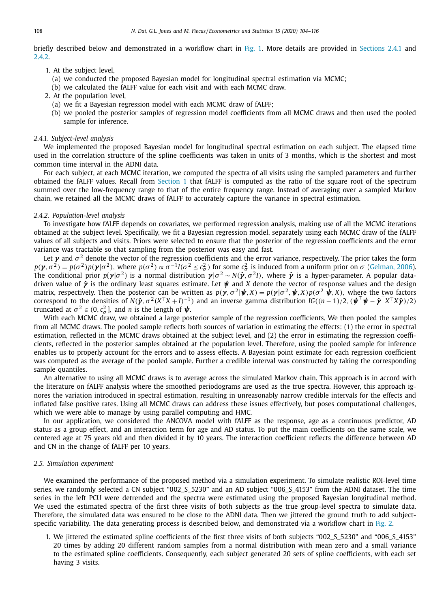<span id="page-4-0"></span>briefly described below and demonstrated in a workflow chart in [Fig.](#page-2-0) 1. More details are provided in Sections 2.4.1 and 2.4.2.

- 1. At the subject level,
	- (a) we conducted the proposed Bayesian model for longitudinal spectral estimation via MCMC;
	- (b) we calculated the fALFF value for each visit and with each MCMC draw.
- 2. At the population level,
	- (a) we fit a Bayesian regression model with each MCMC draw of fALFF;
	- (b) we pooled the posterior samples of regression model coefficients from all MCMC draws and then used the pooled sample for inference.

## *2.4.1. Subject-level analysis*

We implemented the proposed Bayesian model for longitudinal spectral estimation on each subject. The elapsed time used in the correlation structure of the spline coefficients was taken in units of 3 months, which is the shortest and most common time interval in the ADNI data.

For each subject, at each MCMC iteration, we computed the spectra of all visits using the sampled parameters and further obtained the fALFF values. Recall from [Section](#page-0-0) 1 that fALFF is computed as the ratio of the square root of the spectrum summed over the low-frequency range to that of the entire frequency range. Instead of averaging over a sampled Markov chain, we retained all the MCMC draws of fALFF to accurately capture the variance in spectral estimation.

#### *2.4.2. Population-level analysis*

To investigate how fALFF depends on covariates, we performed regression analysis, making use of all the MCMC iterations obtained at the subject level. Specifically, we fit a Bayesian regression model, separately using each MCMC draw of the fALFF values of all subjects and visits. Priors were selected to ensure that the posterior of the regression coefficients and the error variance was tractable so that sampling from the posterior was easy and fast.

Let  $\gamma$  and  $\sigma^2$  denote the vector of the regression coefficients and the error variance, respectively. The prior takes the form  $p(\gamma, \sigma^2) = p(\sigma^2)p(\gamma|\sigma^2)$ , where  $p(\sigma^2) \propto \sigma^{-1}I(\sigma^2 \leq c_\sigma^2)$  for some  $c_\sigma^2$  is induced from a uniform prior on  $\sigma$  [\(Gelman,](#page-11-0) 2006). The conditional prior  $p(\boldsymbol{y}|\sigma^2)$  is a normal distribution  $\boldsymbol{y}|\sigma^2 \sim N(\hat{\boldsymbol{y}}, \sigma^2 I)$ , where  $\hat{\boldsymbol{y}}$  is a hyper-parameter. A popular datadriven value of *γ*ˆ is the ordinary least squares estimate. Let *ψ* and *X* denote the vector of response values and the design matrix, respectively. Then the posterior can be written as  $p(\gamma, \sigma^2 | \psi, X) = p(\gamma | \sigma^2, \psi, X) p(\sigma^2 | \psi, X)$ , where the two factors correspond to the densities of *N*( $\hat{\mathbf{y}}$ ,  $\sigma^2(X^T X + I)^{-1}$ ) and an inverse gamma distribution *IG*(( $n - 1$ )/2, ( $\hat{\mathbf{y}}^T \hat{\mathbf{y}} = \hat{\mathbf{y}}^T X^T X \hat{\mathbf{y}}$ )/2) truncated at  $\sigma^2 \in (0, c_{\sigma}^2]$ , and *n* is the length of  $\psi$ .

With each MCMC draw, we obtained a large posterior sample of the regression coefficients. We then pooled the samples from all MCMC draws. The pooled sample reflects both sources of variation in estimating the effects: (1) the error in spectral estimation, reflected in the MCMC draws obtained at the subject level, and (2) the error in estimating the regression coefficients, reflected in the posterior samples obtained at the population level. Therefore, using the pooled sample for inference enables us to properly account for the errors and to assess effects. A Bayesian point estimate for each regression coefficient was computed as the average of the pooled sample. Further a credible interval was constructed by taking the corresponding sample quantiles.

An alternative to using all MCMC draws is to average across the simulated Markov chain. This approach is in accord with the literature on fALFF analysis where the smoothed periodograms are used as the true spectra. However, this approach ignores the variation introduced in spectral estimation, resulting in unreasonably narrow credible intervals for the effects and inflated false positive rates. Using all MCMC draws can address these issues effectively, but poses computational challenges, which we were able to manage by using parallel computing and HMC.

In our application, we considered the ANCOVA model with fALFF as the response, age as a continuous predictor, AD status as a group effect, and an interaction term for age and AD status. To put the main coefficients on the same scale, we centered age at 75 years old and then divided it by 10 years. The interaction coefficient reflects the difference between AD and CN in the change of fALFF per 10 years.

#### *2.5. Simulation experiment*

We examined the performance of the proposed method via a simulation experiment. To simulate realistic ROI-level time series, we randomly selected a CN subject "002\_S\_5230" and an AD subject "006\_S\_4153" from the ADNI dataset. The time series in the left PCU were detrended and the spectra were estimated using the proposed Bayesian longitudinal method. We used the estimated spectra of the first three visits of both subjects as the true group-level spectra to simulate data. Therefore, the simulated data was ensured to be close to the ADNI data. Then we jittered the ground truth to add subject-specific variability. The data generating process is described below, and demonstrated via a workflow chart in [Fig.](#page-5-0) 2.

1. We jittered the estimated spline coefficients of the first three visits of both subjects "002\_S\_5230" and "006\_S\_4153" 20 times by adding 20 different random samples from a normal distribution with mean zero and a small variance to the estimated spline coefficients. Consequently, each subject generated 20 sets of spline coefficients, with each set having 3 visits.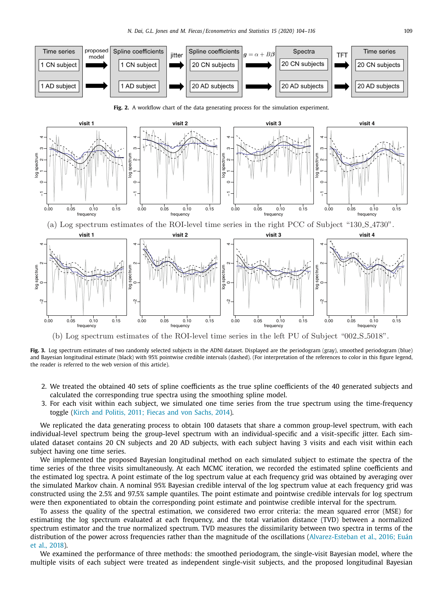<span id="page-5-0"></span>

(b) Log spectrum estimates of the ROI-level time series in the left PU of Subject "002 S 5018".

**Fig. 3.** Log spectrum estimates of two randomly selected subjects in the ADNI dataset. Displayed are the periodogram (gray), smoothed periodogram (blue) and Bayesian longitudinal estimate (black) with 95% pointwise credible intervals (dashed). (For interpretation of the references to color in this figure legend, the reader is referred to the web version of this article).

- 2. We treated the obtained 40 sets of spline coefficients as the true spline coefficients of the 40 generated subjects and calculated the corresponding true spectra using the smoothing spline model.
- 3. For each visit within each subject, we simulated one time series from the true spectrum using the time-frequency toggle (Kirch and [Politis,](#page-11-0) 2011; Fiecas and von Sachs, 2014).

We replicated the data generating process to obtain 100 datasets that share a common group-level spectrum, with each individual-level spectrum being the group-level spectrum with an individual-specific and a visit-specific jitter. Each simulated dataset contains 20 CN subjects and 20 AD subjects, with each subject having 3 visits and each visit within each subject having one time series.

We implemented the proposed Bayesian longitudinal method on each simulated subject to estimate the spectra of the time series of the three visits simultaneously. At each MCMC iteration, we recorded the estimated spline coefficients and the estimated log spectra. A point estimate of the log spectrum value at each frequency grid was obtained by averaging over the simulated Markov chain. A nominal 95% Bayesian credible interval of the log spectrum value at each frequency grid was constructed using the 2.5% and 97.5% sample quantiles. The point estimate and pointwise credible intervals for log spectrum were then exponentiated to obtain the corresponding point estimate and pointwise credible interval for the spectrum.

To assess the quality of the spectral estimation, we considered two error criteria: the mean squared error (MSE) for estimating the log spectrum evaluated at each frequency, and the total variation distance (TVD) between a normalized spectrum estimator and the true normalized spectrum. TVD measures the dissimilarity between two spectra in terms of the distribution of the power across frequencies rather than the magnitude of the oscillations [\(Alvarez-Esteban](#page-11-0) et al., 2016; Euán et al., 2018).

We examined the performance of three methods: the smoothed periodogram, the single-visit Bayesian model, where the multiple visits of each subject were treated as independent single-visit subjects, and the proposed longitudinal Bayesian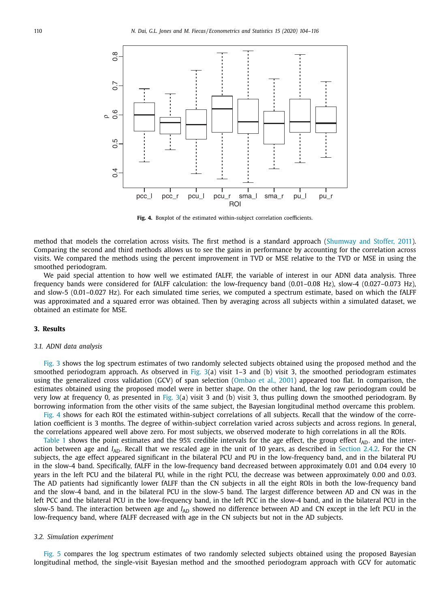<span id="page-6-0"></span>

**Fig. 4.** Boxplot of the estimated within-subject correlation coefficients.

method that models the correlation across visits. The first method is a standard approach [\(Shumway](#page-12-0) and Stoffer, 2011). Comparing the second and third methods allows us to see the gains in performance by accounting for the correlation across visits. We compared the methods using the percent improvement in TVD or MSE relative to the TVD or MSE in using the smoothed periodogram.

We paid special attention to how well we estimated fALFF, the variable of interest in our ADNI data analysis. Three frequency bands were considered for fALFF calculation: the low-frequency band (0.01–0.08 Hz), slow-4 (0.027–0.073 Hz), and slow-5 (0.01–0.027 Hz). For each simulated time series, we computed a spectrum estimate, based on which the fALFF was approximated and a squared error was obtained. Then by averaging across all subjects within a simulated dataset, we obtained an estimate for MSE.

#### **3. Results**

#### *3.1. ADNI data analysis*

[Fig.](#page-5-0) 3 shows the log spectrum estimates of two randomly selected subjects obtained using the proposed method and the smoothed periodogram approach. As observed in [Fig.](#page-5-0)  $3(a)$  visit 1–3 and (b) visit 3, the smoothed periodogram estimates using the generalized cross validation (GCV) of span selection [\(Ombao](#page-12-0) et al., 2001) appeared too flat. In comparison, the estimates obtained using the proposed model were in better shape. On the other hand, the log raw periodogram could be very low at frequency 0, as presented in [Fig.](#page-5-0)  $3(a)$  visit 3 and (b) visit 3, thus pulling down the smoothed periodogram. By borrowing information from the other visits of the same subject, the Bayesian longitudinal method overcame this problem.

Fig. 4 shows for each ROI the estimated within-subject correlations of all subjects. Recall that the window of the correlation coefficient is 3 months. The degree of within-subject correlation varied across subjects and across regions. In general, the correlations appeared well above zero. For most subjects, we observed moderate to high correlations in all the ROIs.

[Table](#page-7-0) 1 shows the point estimates and the 95% credible intervals for the age effect, the group effect  $I_{AD}$ , and the interaction between age and *I<sub>AD</sub>*. Recall that we rescaled age in the unit of 10 years, as described in [Section](#page-4-0) 2.4.2. For the CN subjects, the age effect appeared significant in the bilateral PCU and PU in the low-frequency band, and in the bilateral PU in the slow-4 band. Specifically, fALFF in the low-frequency band decreased between approximately 0.01 and 0.04 every 10 years in the left PCU and the bilateral PU, while in the right PCU, the decrease was between approximately 0.00 and 0.03. The AD patients had significantly lower fALFF than the CN subjects in all the eight ROIs in both the low-frequency band and the slow-4 band, and in the bilateral PCU in the slow-5 band. The largest difference between AD and CN was in the left PCC and the bilateral PCU in the low-frequency band, in the left PCC in the slow-4 band, and in the bilateral PCU in the slow-5 band. The interaction between age and *I<sub>AD</sub>* showed no difference between AD and CN except in the left PCU in the low-frequency band, where fALFF decreased with age in the CN subjects but not in the AD subjects.

#### *3.2. Simulation experiment*

[Fig.](#page-8-0) 5 compares the log spectrum estimates of two randomly selected subjects obtained using the proposed Bayesian longitudinal method, the single-visit Bayesian method and the smoothed periodogram approach with GCV for automatic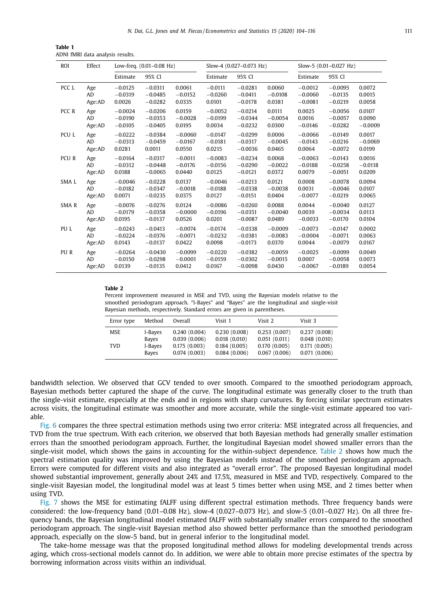<span id="page-7-0"></span>

| Table 1 |  |                                  |  |
|---------|--|----------------------------------|--|
|         |  | ADNI fMRI data analysis results. |  |

| Effect<br><b>ROI</b> |           | Low-freq. (0.01-0.08 Hz) |           | Slow-4 (0.027-0.073 Hz) |           | Slow-5 (0.01-0.027 Hz) |           |           |           |           |
|----------------------|-----------|--------------------------|-----------|-------------------------|-----------|------------------------|-----------|-----------|-----------|-----------|
|                      |           | Estimate                 | 95% CI    |                         | Estimate  | 95% CI                 |           | Estimate  | 95% CI    |           |
| PCC L                | Age       | $-0.0125$                | $-0.0311$ | 0.0061                  | $-0.0111$ | $-0.0281$              | 0.0060    | $-0.0012$ | $-0.0095$ | 0.0072    |
|                      | AD        | $-0.0319$                | $-0.0485$ | $-0.0152$               | $-0.0260$ | $-0.0411$              | $-0.0108$ | $-0.0060$ | $-0.0135$ | 0.0015    |
|                      | Age:AD    | 0.0026                   | $-0.0282$ | 0.0335                  | 0.0101    | $-0.0178$              | 0.0381    | $-0.0081$ | $-0.0219$ | 0.0058    |
| PCC R                | Age       | $-0.0024$                | $-0.0206$ | 0.0159                  | $-0.0052$ | $-0.0214$              | 0.0111    | 0.0025    | $-0.0056$ | 0.0107    |
|                      | <b>AD</b> | $-0.0190$                | $-0.0353$ | $-0.0028$               | $-0.0199$ | $-0.0344$              | $-0.0054$ | 0.0016    | $-0.0057$ | 0.0090    |
|                      | Age:AD    | $-0.0105$                | $-0.0405$ | 0.0195                  | 0.0034    | $-0.0232$              | 0.0300    | $-0.0146$ | $-0.0282$ | $-0.0009$ |
| PCU L                | Age       | $-0.0222$                | $-0.0384$ | $-0.0060$               | $-0.0147$ | $-0.0299$              | 0.0006    | $-0.0066$ | $-0.0149$ | 0.0017    |
|                      | <b>AD</b> | $-0.0313$                | $-0.0459$ | $-0.0167$               | $-0.0181$ | $-0.0317$              | $-0.0045$ | $-0.0143$ | $-0.0216$ | $-0.0069$ |
|                      | Age:AD    | 0.0281                   | 0.0011    | 0.0550                  | 0.0215    | $-0.0036$              | 0.0465    | 0.0064    | $-0.0072$ | 0.0199    |
| PCU R                | Age       | $-0.0164$                | $-0.0317$ | $-0.0011$               | $-0.0083$ | $-0.0234$              | 0.0068    | $-0.0063$ | $-0.0143$ | 0.0016    |
|                      | <b>AD</b> | $-0.0312$                | $-0.0448$ | $-0.0176$               | $-0.0156$ | $-0.0290$              | $-0.0022$ | $-0.0188$ | $-0.0258$ | $-0.0118$ |
|                      | Age:AD    | 0.0188                   | $-0.0065$ | 0.0440                  | 0.0125    | $-0.0121$              | 0.0372    | 0.0079    | $-0.0051$ | 0.0209    |
| SMA L                | Age       | $-0.0046$                | $-0.0228$ | 0.0137                  | $-0.0046$ | $-0.0213$              | 0.0121    | 0.0008    | $-0.0078$ | 0.0094    |
|                      | <b>AD</b> | $-0.0182$                | $-0.0347$ | $-0.0018$               | $-0.0188$ | $-0.0338$              | $-0.0038$ | 0.0031    | $-0.0046$ | 0.0107    |
|                      | Age:AD    | 0.0071                   | $-0.0235$ | 0.0375                  | 0.0127    | $-0.0151$              | 0.0404    | $-0.0077$ | $-0.0219$ | 0.0065    |
| SMAR                 | Age       | $-0.0076$                | $-0.0276$ | 0.0124                  | $-0.0086$ | $-0.0260$              | 0.0088    | 0.0044    | $-0.0040$ | 0.0127    |
|                      | AD        | $-0.0179$                | $-0.0358$ | $-0.0000$               | $-0.0196$ | $-0.0351$              | $-0.0040$ | 0.0039    | $-0.0034$ | 0.0113    |
|                      | Age:AD    | 0.0195                   | $-0.0137$ | 0.0526                  | 0.0201    | $-0.0087$              | 0.0489    | $-0.0033$ | $-0.0170$ | 0.0104    |
| PU L                 | Age       | $-0.0243$                | $-0.0413$ | $-0.0074$               | $-0.0174$ | $-0.0338$              | $-0.0009$ | $-0.0073$ | $-0.0147$ | 0.0002    |
|                      | <b>AD</b> | $-0.0224$                | $-0.0376$ | $-0.0071$               | $-0.0232$ | $-0.0381$              | $-0.0083$ | $-0.0004$ | $-0.0071$ | 0.0063    |
|                      | Age:AD    | 0.0143                   | $-0.0137$ | 0.0422                  | 0.0098    | $-0.0173$              | 0.0370    | 0.0044    | $-0.0079$ | 0.0167    |
| PU R                 | Age       | $-0.0264$                | $-0.0430$ | $-0.0099$               | $-0.0220$ | $-0.0382$              | $-0.0059$ | $-0.0025$ | $-0.0099$ | 0.0049    |
|                      | <b>AD</b> | $-0.0150$                | $-0.0298$ | $-0.0001$               | $-0.0159$ | $-0.0302$              | $-0.0015$ | 0.0007    | $-0.0058$ | 0.0073    |
|                      | Age:AD    | 0.0139                   | $-0.0135$ | 0.0412                  | 0.0167    | $-0.0098$              | 0.0430    | $-0.0067$ | $-0.0189$ | 0.0054    |

#### **Table 2**

Percent improvement measured in MSE and TVD, using the Bayesian models relative to the smoothed periodogram approach. "l-Bayes" and "Bayes" are the longitudinal and single-visit Bayesian methods, respectively. Standard errors are given in parentheses.

| Error type | Method  | Overall      | Visit 1      | Visit 2      | Visit 3      |
|------------|---------|--------------|--------------|--------------|--------------|
| <b>MSE</b> | l-Bayes | 0.240(0.004) | 0.230(0.008) | 0.253(0.007) | 0.237(0.008) |
|            | Bayes   | 0.039(0.006) | 0.018(0.010) | 0.051(0.011) | 0.048(0.010) |
| TVD.       | l-Bayes | 0.175(0.003) | 0.184(0.005) | 0.170(0.005) | 0.171(0.005) |
|            | Bayes   | 0.074(0.003) | 0.084(0.006) | 0.067(0.006) | 0.071(0.006) |

bandwidth selection. We observed that GCV tended to over smooth. Compared to the smoothed periodogram approach, Bayesian methods better captured the shape of the curve. The longitudinal estimate was generally closer to the truth than the single-visit estimate, especially at the ends and in regions with sharp curvatures. By forcing similar spectrum estimates across visits, the longitudinal estimate was smoother and more accurate, while the single-visit estimate appeared too variable.

[Fig.](#page-8-0) 6 compares the three spectral estimation methods using two error criteria: MSE integrated across all frequencies, and TVD from the true spectrum. With each criterion, we observed that both Bayesian methods had generally smaller estimation errors than the smoothed periodogram approach. Further, the longitudinal Bayesian model showed smaller errors than the single-visit model, which shows the gains in accounting for the within-subject dependence. Table 2 shows how much the spectral estimation quality was improved by using the Bayesian models instead of the smoothed periodogram approach. Errors were computed for different visits and also integrated as "overall error". The proposed Bayesian longitudinal model showed substantial improvement, generally about 24% and 17.5%, measured in MSE and TVD, respectively. Compared to the single-visit Bayesian model, the longitudinal model was at least 5 times better when using MSE, and 2 times better when using TVD.

[Fig.](#page-9-0) 7 shows the MSE for estimating fALFF using different spectral estimation methods. Three frequency bands were considered: the low-frequency band (0.01–0.08 Hz), slow-4 (0.027–0.073 Hz), and slow-5 (0.01–0.027 Hz). On all three frequency bands, the Bayesian longitudinal model estimated fALFF with substantially smaller errors compared to the smoothed periodogram approach. The single-visit Bayesian method also showed better performance than the smoothed periodogram approach, especially on the slow-5 band, but in general inferior to the longitudinal model.

The take-home message was that the proposed longitudinal method allows for modeling developmental trends across aging, which cross-sectional models cannot do. In addition, we were able to obtain more precise estimates of the spectra by borrowing information across visits within an individual.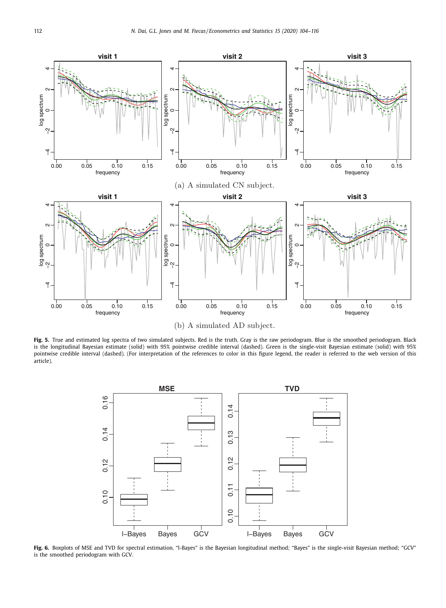<span id="page-8-0"></span>

Fig. 5. True and estimated log spectra of two simulated subjects. Red is the truth. Gray is the raw periodogram. Blue is the smoothed periodogram. Black is the longitudinal Bayesian estimate (solid) with 95% pointwise credible interval (dashed). Green is the single-visit Bayesian estimate (solid) with 95% pointwise credible interval (dashed). (For interpretation of the references to color in this figure legend, the reader is referred to the web version of this article).



**Fig. 6.** Boxplots of MSE and TVD for spectral estimation. "l-Bayes" is the Bayesian longitudinal method; "Bayes" is the single-visit Bayesian method; "GCV" is the smoothed periodogram with GCV.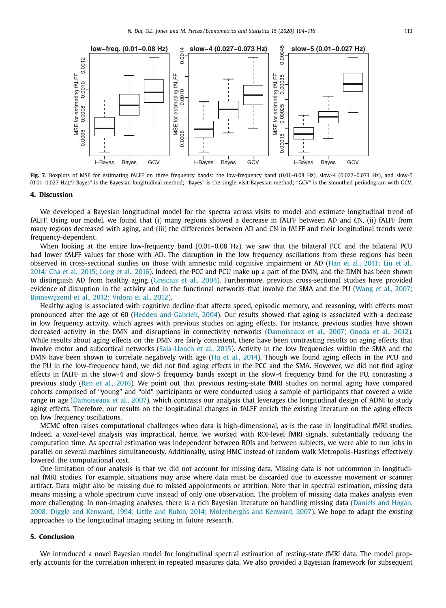<span id="page-9-0"></span>

Fig. 7. Boxplots of MSE for estimating fALFF on three frequency bands: the low-frequency band (0.01-0.08 Hz), slow-4 (0.027-0.073 Hz), and slow-5 (0.01–0.027 Hz)."l-Bayes" is the Bayesian longitudinal method; "Bayes" is the single-visit Bayesian method; "GCV" is the smoothed periodogram with GCV.

#### **4. Discussion**

We developed a Bayesian longitudinal model for the spectra across visits to model and estimate longitudinal trend of fALFF. Using our model, we found that (i) many regions showed a decrease in fALFF between AD and CN, (ii) fALFF from many regions decreased with aging, and (iii) the differences between AD and CN in fALFF and their longitudinal trends were frequency-dependent.

When looking at the entire low-frequency band (0.01–0.08 Hz), we saw that the bilateral PCC and the bilateral PCU had lower fALFF values for those with AD. The disruption in the low frequency oscillations from these regions has been observed in [cross-sectional](#page-11-0) studies on those with amnestic mild cognitive impairment or AD (Han et al., 2011; Liu et al., 2014; Cha et al., 2015; Long et al., 2016). Indeed, the PCC and PCU make up a part of the DMN, and the DMN has been shown to distinguish AD from healthy aging [\(Greicius](#page-11-0) et al., 2004). Furthermore, previous cross-sectional studies have provided evidence of disruption in the activity and in the functional networks that involve the SMA and the PU (Wang et al., 2007; [Binnewijzend](#page-12-0) et al., 2012; Vidoni et al., 2012).

Healthy aging is associated with cognitive decline that affects speed, episodic memory, and reasoning, with effects most pronounced after the age of 60 (Hedden and [Gabrieli,](#page-11-0) 2004). Our results showed that aging is associated with a decrease in low frequency activity, which agrees with previous studies on aging effects. For instance, previous studies have shown decreased activity in the DMN and disruptions in connectivity networks [\(Damoiseaux](#page-11-0) et al., 2007; Onoda et al., 2012). While results about aging effects on the DMN are fairly consistent, there have been contrasting results on aging effects that involve motor and subcortical networks [\(Sala-Llonch](#page-12-0) et al., 2015). Activity in the low frequencies within the SMA and the DMN have been shown to correlate negatively with age (Hu et al., [2014\)](#page-11-0). Though we found aging effects in the PCU and the PU in the low-frequency band, we did not find aging effects in the PCC and the SMA. However, we did not find aging effects in fALFF in the slow-4 and slow-5 frequency bands except in the slow-4 frequency band for the PU, contrasting a previous study (Ren et al., [2016\)](#page-12-0). We point out that previous resting-state fMRI studies on normal aging have compared cohorts comprised of "young" and "old" participants or were conducted using a sample of participants that covered a wide range in age [\(Damoiseaux](#page-11-0) et al., 2007), which contrasts our analysis that leverages the longitudinal design of ADNI to study aging effects. Therefore, our results on the longitudinal changes in fALFF enrich the existing literature on the aging effects on low frequency oscillations.

MCMC often raises computational challenges when data is high-dimensional, as is the case in longitudinal fMRI studies. Indeed, a voxel-level analysis was impractical, hence, we worked with ROI-level fMRI signals, substantially reducing the computation time. As spectral estimation was independent between ROIs and between subjects, we were able to run jobs in parallel on several machines simultaneously. Additionally, using HMC instead of random walk Metropolis-Hastings effectively lowered the computational cost.

One limitation of our analysis is that we did not account for missing data. Missing data is not uncommon in longitudinal fMRI studies. For example, situations may arise where data must be discarded due to excessive movement or scanner artifact. Data might also be missing due to missed appointments or attrition. Note that in spectral estimation, missing data means missing a whole spectrum curve instead of only one observation. The problem of missing data makes analysis even more challenging. In non-imaging analyses, there is a rich Bayesian literature on handling missing data (Daniels and Hogan, 2008; Diggle and Kenward, 1994; Little and Rubin, 2014; [Molenberghs](#page-11-0) and Kenward, 2007). We hope to adapt the existing approaches to the longitudinal imaging setting in future research.

## **5. Conclusion**

We introduced a novel Bayesian model for longitudinal spectral estimation of resting-state fMRI data. The model properly accounts for the correlation inherent in repeated measures data. We also provided a Bayesian framework for subsequent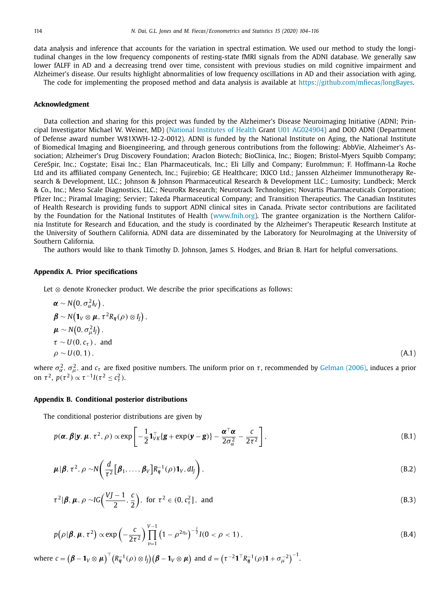<span id="page-10-0"></span>data analysis and inference that accounts for the variation in spectral estimation. We used our method to study the longitudinal changes in the low frequency components of resting-state fMRI signals from the ADNI database. We generally saw lower fALFF in AD and a decreasing trend over time, consistent with previous studies on mild cognitive impairment and Alzheimer's disease. Our results highlight abnormalities of low frequency oscillations in AD and their association with aging.

The code for implementing the proposed method and data analysis is available at [https://github.com/mfiecas/longBayes.](https://github.com/mfiecas/longBayes)

#### **Acknowledgment**

Data collection and sharing for this project was funded by the Alzheimer's Disease Neuroimaging Initiative (ADNI; Principal Investigator Michael W. Weiner, MD) (National [Institutes](https://doi.org/10.13039/100000002) of Health Grant U01 AG024904) and DOD ADNI (Department of Defense award number W81XWH-12-2-0012). ADNI is funded by the National Institute on Aging, the National Institute of Biomedical Imaging and Bioengineering, and through generous contributions from the following: AbbVie, Alzheimer's Association; Alzheimer's Drug Discovery Foundation; Araclon Biotech; BioClinica, Inc.; Biogen; Bristol-Myers Squibb Company; CereSpir, Inc.; Cogstate; Eisai Inc.; Elan Pharmaceuticals, Inc.; Eli Lilly and Company; EuroImmun; F. Hoffmann-La Roche Ltd and its affiliated company Genentech, Inc.; Fujirebio; GE Healthcare; IXICO Ltd.; Janssen Alzheimer Immunotherapy Research & Development, LLC.; Johnson & Johnson Pharmaceutical Research & Development LLC.; Lumosity; Lundbeck; Merck & Co., Inc.; Meso Scale Diagnostics, LLC.; NeuroRx Research; Neurotrack Technologies; Novartis Pharmaceuticals Corporation; Pfizer Inc.; Piramal Imaging; Servier; Takeda Pharmaceutical Company; and Transition Therapeutics. The Canadian Institutes of Health Research is providing funds to support ADNI clinical sites in Canada. Private sector contributions are facilitated by the Foundation for the National Institutes of Health [\(www.fnih.org\)](http://www.fnih.org). The grantee organization is the Northern California Institute for Research and Education, and the study is coordinated by the Alzheimer's Therapeutic Research Institute at the University of Southern California. ADNI data are disseminated by the Laboratory for NeuroImaging at the University of Southern California.

The authors would like to thank Timothy D. Johnson, James S. Hodges, and Brian B. Hart for helpful conversations.

#### **Appendix A. Prior specifications**

Let  $\otimes$  denote Kronecker product. We describe the prior specifications as follows:

$$
\alpha \sim N(0, \sigma_{\alpha}^{2}I_{V}),
$$
  
\n
$$
\beta \sim N(1_{V} \otimes \mu, \tau^{2}R_{\eta}(\rho) \otimes I_{J}),
$$
  
\n
$$
\mu \sim N(0, \sigma_{\mu}^{2}I_{J}),
$$
  
\n
$$
\tau \sim U(0, c_{\tau}),
$$
 and  
\n
$$
\rho \sim U(0, 1),
$$
\n(A.1)

where  $\sigma_\alpha^2$ ,  $\sigma_\mu^2$ , and  $c_\tau$  are fixed positive numbers. The uniform prior on  $\tau$ , recommended by [Gelman](#page-11-0) (2006), induces a prior on  $\tau^2$ ,  $p(\tau^2) \propto \tau^{-1} I(\tau^2 \leq c_\tau^2)$ .

# **Appendix B. Conditional posterior distributions**

The conditional posterior distributions are given by

$$
p(\boldsymbol{\alpha},\boldsymbol{\beta}|\mathbf{y},\boldsymbol{\mu},\tau^2,\rho) \propto \exp\left[-\frac{1}{2}\mathbf{1}_{VK}^\top\{\mathbf{g}+\exp(\mathbf{y}-\mathbf{g})\}-\frac{\boldsymbol{\alpha}^\top\boldsymbol{\alpha}}{2\sigma_{\alpha}^2}-\frac{c}{2\tau^2}\right],
$$
\n(B.1)

$$
\boldsymbol{\mu}|\boldsymbol{\beta}, \tau^2, \rho \sim N\bigg(\frac{d}{\tau^2} \big[\boldsymbol{\beta}_1, \ldots, \boldsymbol{\beta}_V\big] R_{\eta}^{-1}(\rho) \mathbf{1}_V, dI_J\bigg), \tag{B.2}
$$

$$
\tau^2|\boldsymbol{\beta}, \boldsymbol{\mu}, \rho \sim IG\left(\frac{VJ-1}{2}, \frac{c}{2}\right), \text{ for } \tau^2 \in (0, c_\tau^2], \text{ and}
$$
 (B.3)

$$
p(\rho|\beta, \mu, \tau^2) \propto \exp\left(-\frac{c}{2\tau^2}\right) \prod_{\nu=1}^{V-1} \left(1 - \rho^{2\eta_{\nu}}\right)^{-\frac{1}{2}} I(0 < \rho < 1), \tag{B.4}
$$

where  $c = \left(\boldsymbol{\beta} - \mathbf{1}_V \otimes \boldsymbol{\mu} \right)^\top \left( R_{\boldsymbol{\eta}}^{-1}(\rho) \otimes l_{\boldsymbol{\jmath}} \right) \left(\boldsymbol{\beta} - \mathbf{1}_V \otimes \boldsymbol{\mu} \right) \text{ and } d = \left(\tau^{-2} \mathbf{1}^\top R_{\boldsymbol{\eta}}^{-1}(\rho) \mathbf{1} + \sigma_{\mu}^{-2} \right)^{-1}.$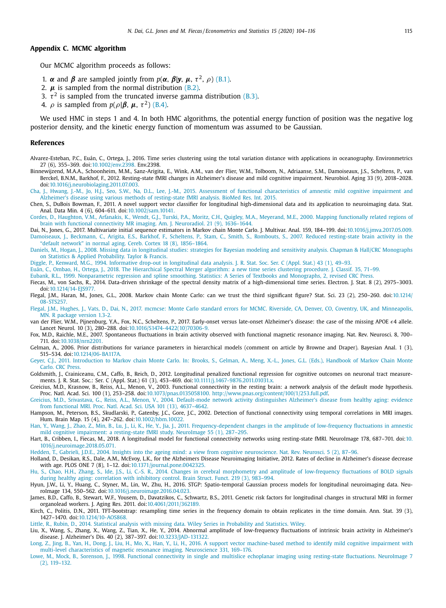## <span id="page-11-0"></span>**Appendix C. MCMC algorithm**

Our MCMC algorithm proceeds as follows:

- 1. *α* and *β* are sampled jointly from  $p(\alpha, \beta | y, \mu, \tau^2, \rho)$  [\(B.1\).](#page-10-0)
- 2.  $\mu$  is sampled from the normal distribution  $(B.2)$ .
- 3.  $\tau^2$  is sampled from the truncated inverse gamma distribution [\(B.3\).](#page-10-0)
- 4.  $\rho$  is sampled from  $p(\rho|\boldsymbol{\beta}, \boldsymbol{\mu}, \tau^2)$  [\(B.4\).](#page-10-0)

We used HMC in steps 1 and 4. In both HMC algorithms, the potential energy function of position was the negative log posterior density, and the kinetic energy function of momentum was assumed to be Gaussian.

#### **References**

- Alvarez-Esteban, P.C., Euán, C., Ortega, J., 2016. Time series clustering using the total variation distance with applications in oceanography. Environmetrics 27 (6), 355–369. doi[:10.1002/env.2398.](https://doi.org/10.1002/env.2398) Env.2398.
- Binnewijzend, M.A.A., Schoonheim, M.M., Sanz-Arigita, E., Wink, A.M., van der Flier, W.M., Tolboom, N., Adriaanse, S.M., Damoiseaux, J.S., Scheltens, P., van Berckel, B.N.M., Barkhof, F., 2012. Resting-state fMRI changes in Alzheimer's disease and mild cognitive impairment. Neurobiol. Aging 33 (9), 2018–2028. doi[:10.1016/j.neurobiolaging.2011.07.003.](https://doi.org/10.1016/j.neurobiolaging.2011.07.003)
- [Cha,](http://refhub.elsevier.com/S2452-3062(19)30006-1/sbref0003) J., [Hwang,](http://refhub.elsevier.com/S2452-3062(19)30006-1/sbref0003) J.-M., Jo, [H.J.,](http://refhub.elsevier.com/S2452-3062(19)30006-1/sbref0003) Seo, [S.W.,](http://refhub.elsevier.com/S2452-3062(19)30006-1/sbref0003) Na, [D.L.,](http://refhub.elsevier.com/S2452-3062(19)30006-1/sbref0003) Lee, [J.-M.,](http://refhub.elsevier.com/S2452-3062(19)30006-1/sbref0003) 2015. Assessment of functional [characteristics](http://refhub.elsevier.com/S2452-3062(19)30006-1/sbref0003) of amnestic mild cognitive impairment and Alzheimer's disease using various methods of resting-state fMRI analysis. BioMed Res. Int. 2015.

Chen, S., DuBois Bowman, F., 2011. A novel support vector classifier for longitudinal high-dimensional data and its application to neuroimaging data. Stat. Anal. Data Min. 4 (6), 604–611. doi[:10.1002/sam.10141.](https://doi.org/10.1002/sam.10141)

[Cordes,](http://refhub.elsevier.com/S2452-3062(19)30006-1/sbref0005) D., [Haughton,](http://refhub.elsevier.com/S2452-3062(19)30006-1/sbref0005) V.M., [Arfanakis,](http://refhub.elsevier.com/S2452-3062(19)30006-1/sbref0005) K., [Wendt,](http://refhub.elsevier.com/S2452-3062(19)30006-1/sbref0005) G.J., [Turski,](http://refhub.elsevier.com/S2452-3062(19)30006-1/sbref0005) P.A., [Moritz,](http://refhub.elsevier.com/S2452-3062(19)30006-1/sbref0005) C.H., [Quigley,](http://refhub.elsevier.com/S2452-3062(19)30006-1/sbref0005) M.A., [Meyerand,](http://refhub.elsevier.com/S2452-3062(19)30006-1/sbref0005) M.E., 2000. Mapping functionally related regions of brain with functional connectivity MR imaging. Am. J. [Neuroradiol.](http://refhub.elsevier.com/S2452-3062(19)30006-1/sbref0005) 21 (9), 1636–1644.

Dai, N., Jones, G., 2017. Multivariate initial sequence estimators in Markov chain Monte Carlo. J. Multivar. Anal. 159, 184–199. doi[:10.1016/j.jmva.2017.05.009.](https://doi.org/10.1016/j.jmva.2017.05.009) [Damoiseaux,](http://refhub.elsevier.com/S2452-3062(19)30006-1/sbref0007) J., [Beckmann,](http://refhub.elsevier.com/S2452-3062(19)30006-1/sbref0007) C., [Arigita,](http://refhub.elsevier.com/S2452-3062(19)30006-1/sbref0007) E.S., [Barkhof,](http://refhub.elsevier.com/S2452-3062(19)30006-1/sbref0007) F., [Scheltens,](http://refhub.elsevier.com/S2452-3062(19)30006-1/sbref0007) P., [Stam,](http://refhub.elsevier.com/S2452-3062(19)30006-1/sbref0007) C., [Smith,](http://refhub.elsevier.com/S2452-3062(19)30006-1/sbref0007) S., [Rombouts,](http://refhub.elsevier.com/S2452-3062(19)30006-1/sbref0007) S., 2007. Reduced resting-state brain activity in the "default network" in normal aging. Cereb. Cortex 18 (8), 1856–1864.

[Daniels,](http://refhub.elsevier.com/S2452-3062(19)30006-1/sbref0008) M., [Hogan,](http://refhub.elsevier.com/S2452-3062(19)30006-1/sbref0008) J., 2008. Missing data in longitudinal studies: strategies for Bayesian modeling and sensitivity analysis. Chapman & Hall/CRC [Monographs](http://refhub.elsevier.com/S2452-3062(19)30006-1/sbref0008) on Statistics & Applied Probability. Taylor & Francis.

[Diggle,](http://refhub.elsevier.com/S2452-3062(19)30006-1/sbref0009) P., [Kenward,](http://refhub.elsevier.com/S2452-3062(19)30006-1/sbref0009) M.G., 1994. Informative drop-out in [longitudinal](http://refhub.elsevier.com/S2452-3062(19)30006-1/sbref0009) data analysis. J. R. Stat. Soc. Ser. C (Appl. Stat.) 43 (1), 49–93.

[Euán,](http://refhub.elsevier.com/S2452-3062(19)30006-1/sbref0010) C., [Ombao,](http://refhub.elsevier.com/S2452-3062(19)30006-1/sbref0010) H., [Ortega,](http://refhub.elsevier.com/S2452-3062(19)30006-1/sbref0010) J., 2018. The [Hierarchical](http://refhub.elsevier.com/S2452-3062(19)30006-1/sbref0010) Spectral Merger algorithm: a new time series clustering procedure. J. Classif. 35, 71–99.

[Eubank,](http://refhub.elsevier.com/S2452-3062(19)30006-1/sbref0011) R.L., 1999. [Nonparametric](http://refhub.elsevier.com/S2452-3062(19)30006-1/sbref0011) regression and spline smoothing. Statistics: A Series of Textbooks and Monographs, 2, revised CRC Press.

- Fiecas, M., von Sachs, R., 2014. Data-driven shrinkage of the spectral density matrix of a high-dimensional time series. Electron. J. Stat. 8 (2), 2975–3003. doi[:10.1214/14-EJS977.](https://doi.org/10.1214/14-EJS977)
- Flegal, J.M., Haran, M., Jones, G.L., 2008. Markov chain Monte Carlo: can we trust the third significant figure? Stat. Sci. 23 (2), 250-260. [doi:10.1214/](https://doi.org/10.1214/08-STS257) 08-STS257.
- [Flegal,](http://refhub.elsevier.com/S2452-3062(19)30006-1/sbref0014) J.M., [Hughes,](http://refhub.elsevier.com/S2452-3062(19)30006-1/sbref0014) J., [Vats,](http://refhub.elsevier.com/S2452-3062(19)30006-1/sbref0014) D., [Dai,](http://refhub.elsevier.com/S2452-3062(19)30006-1/sbref0014) N., 2017. [mcmcse:](http://refhub.elsevier.com/S2452-3062(19)30006-1/sbref0014) Monte Carlo standard errors for MCMC. Riverside, CA, Denver, CO, Coventry, UK, and [Minneapolis,](http://refhub.elsevier.com/S2452-3062(19)30006-1/sbref0014) MN. R package version 1.3-2.
- van der Flier, W.M., Pijnenburg, Y.A., Fox, N.C., Scheltens, P., 2017. Early-onset versus late-onset Alzheimer's disease: the case of the missing APOE  $\epsilon$ 4 allele. Lancet Neurol. 10 (3), 280–288. doi[:10.1016/S1474-4422\(10\)70306-9.](https://doi.org/10.1016/S1474-4422(10)70306-9)
- Fox, M.D., Raichle, M.E., 2007. Spontaneous fluctuations in brain activity observed with functional magnetic resonance imaging. Nat. Rev. Neurosci. 8, 700– 711. doi[:10.1038/nrn2201.](https://doi.org/10.1038/nrn2201)
- Gelman, A., 2006. Prior distributions for variance parameters in hierarchical models (comment on article by Browne and Draper). Bayesian Anal. 1 (3), 515–534. doi[:10.1214/06-BA117A.](https://doi.org/10.1214/06-BA117A)
- [Geyer,](http://refhub.elsevier.com/S2452-3062(19)30006-1/sbref0018) C.J., 2011. [Introduction](http://refhub.elsevier.com/S2452-3062(19)30006-1/sbref0018) to Markov chain Monte Carlo. In: Brooks, S., Gelman, A., Meng, X.-L., Jones, G.L. (Eds.), Handbook of Markov Chain Monte Carlo. CRC Press.
- Goldsmith, J., Crainiceanu, C.M., Caffo, B., Reich, D., 2012. Longitudinal penalized functional regression for cognitive outcomes on neuronal tract measurements. J. R. Stat. Soc.: Ser. C (Appl. Stat.) 61 (3), 453–469. doi[:10.1111/j.1467-9876.2011.01031.x.](https://doi.org/10.1111/j.1467-9876.2011.01031.x)
- Greicius, M.D., Krasnow, B., Reiss, A.L., Menon, V., 2003. Functional connectivity in the resting brain: a network analysis of the default mode hypothesis. Proc. Natl. Acad. Sci. 100 (1), 253–258. doi[:10.1073/pnas.0135058100.](https://doi.org/10.1073/pnas.0135058100) [http://www.pnas.org/content/100/1/253.full.pdf.](http://www.pnas.org/content/100/1/253.full.pdf)
- [Greicius,](http://refhub.elsevier.com/S2452-3062(19)30006-1/sbref0021) M.D., [Srivastava,](http://refhub.elsevier.com/S2452-3062(19)30006-1/sbref0021) G., [Reiss,](http://refhub.elsevier.com/S2452-3062(19)30006-1/sbref0021) A.L., [Menon,](http://refhub.elsevier.com/S2452-3062(19)30006-1/sbref0021) V., 2004. [Default-mode](http://refhub.elsevier.com/S2452-3062(19)30006-1/sbref0021) network activity distinguishes Alzheimer's disease from healthy aging: evidence from functional MRI. Proc. Natl. Acad. Sci. USA 101 (13), 4637–4642.
- Hampson, M., Peterson, B.S., Skudlarski, P., Gatenby, J.C., Gore, J.C., 2002. Detection of functional connectivity using temporal correlations in MRI images. Hum. Brain Map. 15 (4), 247–262. doi[:10.1002/hbm.10022.](https://doi.org/10.1002/hbm.10022)
- [Han,](http://refhub.elsevier.com/S2452-3062(19)30006-1/sbref0023) Y., [Wang,](http://refhub.elsevier.com/S2452-3062(19)30006-1/sbref0023) J., [Zhao,](http://refhub.elsevier.com/S2452-3062(19)30006-1/sbref0023) Z., [Min,](http://refhub.elsevier.com/S2452-3062(19)30006-1/sbref0023) B., [Lu,](http://refhub.elsevier.com/S2452-3062(19)30006-1/sbref0023) J., [Li,](http://refhub.elsevier.com/S2452-3062(19)30006-1/sbref0023) K., [He,](http://refhub.elsevier.com/S2452-3062(19)30006-1/sbref0023) Y., [Jia,](http://refhub.elsevier.com/S2452-3062(19)30006-1/sbref0023) J., 2011. [Frequency-dependent](http://refhub.elsevier.com/S2452-3062(19)30006-1/sbref0023) changes in the amplitude of low-frequency fluctuations in amnestic mild cognitive impairment: a resting-state fMRI study. NeuroImage 55 (1), 287–295.
- Hart, B., Cribben, I., Fiecas, M., 2018. A longitudinal model for functional connectivity networks using resting-state fMRI. NeuroImage 178, 687-701. doi:10. [1016/j.neuroimage.2018.05.071.](https://doi.org/10.1016/j.neuroimage.2018.05.071)

[Hedden,](http://refhub.elsevier.com/S2452-3062(19)30006-1/sbref0025) T., [Gabrieli,](http://refhub.elsevier.com/S2452-3062(19)30006-1/sbref0025) J.D.E., 2004. Insights into the ageing mind: a view from cognitive [neuroscience.](http://refhub.elsevier.com/S2452-3062(19)30006-1/sbref0025) Nat. Rev. Neurosci. 5 (2), 87–96.

- Holland, D., Desikan, R.S., Dale, A.M., McEvoy, L.K., for the Alzheimers Disease Neuroimaging Initiative, 2012. Rates of decline in Alzheimer's disease decrease with age. PLOS ONE 7 (8), 1–12. doi[:10.1371/journal.pone.0042325.](https://doi.org/10.1371/journal.pone.0042325)
- [Hu,](http://refhub.elsevier.com/S2452-3062(19)30006-1/sbref0027) S., [Chao,](http://refhub.elsevier.com/S2452-3062(19)30006-1/sbref0027) H.H., [Zhang,](http://refhub.elsevier.com/S2452-3062(19)30006-1/sbref0027) S., [Ide,](http://refhub.elsevier.com/S2452-3062(19)30006-1/sbref0027) J.S., Li, [C.-S.](http://refhub.elsevier.com/S2452-3062(19)30006-1/sbref0027) R., 2014. Changes in cerebral morphometry and amplitude of [low-frequency](http://refhub.elsevier.com/S2452-3062(19)30006-1/sbref0027) fluctuations of BOLD signals during healthy aging: correlation with inhibitory control. Brain Struct. Funct. 219 (3), 983–994.
- Hyun, J.W., Li, Y., Huang, C., Styner, M., Lin, W., Zhu, H., 2016. STGP: Spatio-temporal Gaussian process models for longitudinal neuroimaging data. NeuroImage 134, 550–562. doi[:10.1016/j.neuroimage.2016.04.023.](https://doi.org/10.1016/j.neuroimage.2016.04.023)
- James, B.D., Caffo, B., Stewart, W.F., Yousem, D., Davatzikos, C., Schwartz, B.S., 2011. Genetic risk factors for longitudinal changes in structural MRI in former organolead workers. J. Aging Res. 2011. doi[:10.4061/2011/362189.](https://doi.org/10.4061/2011/362189)
- Kirch, C., Politis, D.N., 2011. TFT-bootstrap: resampling time series in the frequency domain to obtain replicates in the time domain. Ann. Stat. 39 (3), 1427–1470. doi[:10.1214/10-AOS868.](https://doi.org/10.1214/10-AOS868)

[Little,](http://refhub.elsevier.com/S2452-3062(19)30006-1/sbref0031) R., [Rubin,](http://refhub.elsevier.com/S2452-3062(19)30006-1/sbref0031) D., 2014. Statistical analysis with missing data. Wiley Series in [Probability](http://refhub.elsevier.com/S2452-3062(19)30006-1/sbref0031) and Statistics. Wiley.

- Liu, X., Wang, S., Zhang, X., Wang, Z., Tian, X., He, Y., 2014. Abnormal amplitude of low-frequency fluctuations of intrinsic brain activity in Alzheimer's disease. J. Alzheimer's Dis. 40 (2), 387–397. doi[:10.3233/JAD-131322.](https://doi.org/10.3233/JAD-131322)
- [Long,](http://refhub.elsevier.com/S2452-3062(19)30006-1/sbref0033) Z., [Jing,](http://refhub.elsevier.com/S2452-3062(19)30006-1/sbref0033) B., [Yan,](http://refhub.elsevier.com/S2452-3062(19)30006-1/sbref0033) H., [Dong,](http://refhub.elsevier.com/S2452-3062(19)30006-1/sbref0033) J., [Liu,](http://refhub.elsevier.com/S2452-3062(19)30006-1/sbref0033) H., [Mo,](http://refhub.elsevier.com/S2452-3062(19)30006-1/sbref0033) X., [Han,](http://refhub.elsevier.com/S2452-3062(19)30006-1/sbref0033) Y., Li, [H.,](http://refhub.elsevier.com/S2452-3062(19)30006-1/sbref0033) 2016. A support vector [machine-based](http://refhub.elsevier.com/S2452-3062(19)30006-1/sbref0033) method to identify mild cognitive impairment with multi-level characteristics of magnetic resonance imaging. Neuroscience 331, 169–176.
- [Lowe,](http://refhub.elsevier.com/S2452-3062(19)30006-1/sbref0034) M., [Mock,](http://refhub.elsevier.com/S2452-3062(19)30006-1/sbref0034) B., [Sorenson,](http://refhub.elsevier.com/S2452-3062(19)30006-1/sbref0034) J., 1998. Functional connectivity in single and multislice echoplanar imaging using [resting-state](http://refhub.elsevier.com/S2452-3062(19)30006-1/sbref0034) fluctuations. NeuroImage 7 (2), 119–132.